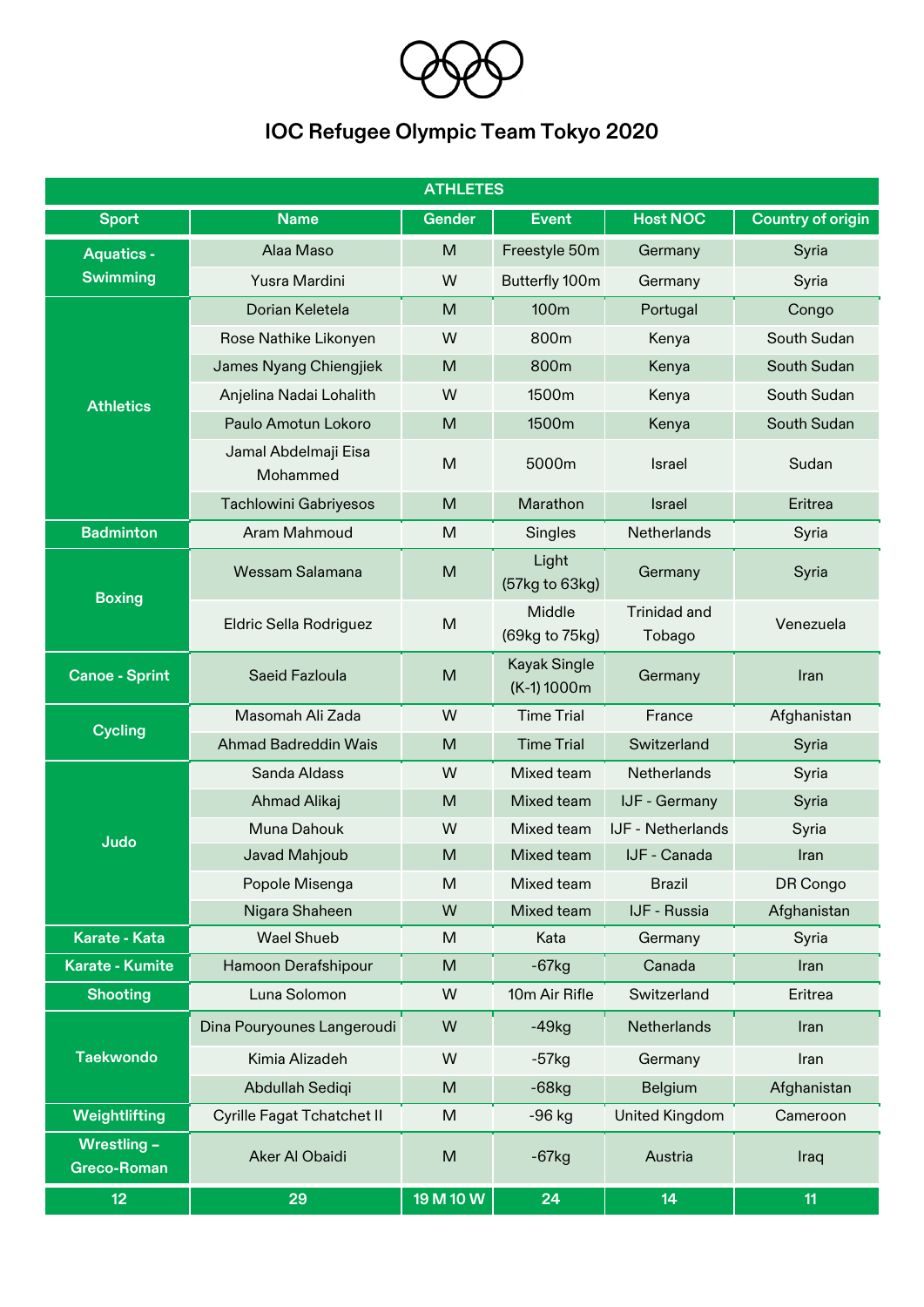

## **IOC Refugee Olympic Team Tokyo 2020**

| <b>ATHLETES</b>                   |                                  |               |                                    |                               |                          |  |  |
|-----------------------------------|----------------------------------|---------------|------------------------------------|-------------------------------|--------------------------|--|--|
| <b>Sport</b>                      | <b>Name</b>                      | <b>Gender</b> | <b>Event</b>                       | <b>Host NOC</b>               | <b>Country of origin</b> |  |  |
| <b>Aquatics -</b>                 | Alaa Maso                        | M             | Freestyle 50m                      | Germany                       | Syria                    |  |  |
| <b>Swimming</b>                   | Yusra Mardini                    | W             | Butterfly 100m                     | Germany                       | Syria                    |  |  |
|                                   | Dorian Keletela                  | M             | 100 <sub>m</sub>                   | Portugal                      | Congo                    |  |  |
|                                   | Rose Nathike Likonyen            | W             | 800m                               | Kenya                         | South Sudan              |  |  |
| <b>Athletics</b>                  | James Nyang Chiengjiek           | M             | 800m                               | Kenya                         | South Sudan              |  |  |
|                                   | Anjelina Nadai Lohalith          | W             | 1500m                              | Kenya                         | South Sudan              |  |  |
|                                   | Paulo Amotun Lokoro              | M             | 1500m                              | Kenya                         | South Sudan              |  |  |
|                                   | Jamal Abdelmaji Eisa<br>Mohammed | M             | 5000m                              | <b>Israel</b>                 | Sudan                    |  |  |
|                                   | <b>Tachlowini Gabriyesos</b>     | M             | Marathon                           | <b>Israel</b>                 | Eritrea                  |  |  |
| <b>Badminton</b>                  | Aram Mahmoud                     | M             | Singles                            | Netherlands                   | Syria                    |  |  |
| <b>Boxing</b>                     | Wessam Salamana                  | M             | Light<br>(57kg to 63kg)            | Germany                       | Syria                    |  |  |
|                                   | Eldric Sella Rodriguez           | M             | Middle<br>(69kg to 75kg)           | <b>Trinidad and</b><br>Tobago | Venezuela                |  |  |
| <b>Canoe - Sprint</b>             | Saeid Fazloula                   | M             | <b>Kayak Single</b><br>(K-1) 1000m | Germany                       | Iran                     |  |  |
| <b>Cycling</b>                    | Masomah Ali Zada                 | W             | <b>Time Trial</b>                  | France                        | Afghanistan              |  |  |
|                                   | <b>Ahmad Badreddin Wais</b>      | M             | <b>Time Trial</b>                  | Switzerland                   | Syria                    |  |  |
|                                   | Sanda Aldass                     | W             | Mixed team                         | Netherlands                   | Syria                    |  |  |
|                                   | <b>Ahmad Alikaj</b>              | M             | Mixed team                         | IJF - Germany                 | Syria                    |  |  |
| <b>Judo</b>                       | Muna Dahouk                      | W             | Mixed team                         | IJF - Netherlands             | Syria                    |  |  |
|                                   | Javad Mahjoub                    | M             | Mixed team                         | IJF - Canada                  | Iran                     |  |  |
|                                   | Popole Misenga                   | M             | Mixed team                         | <b>Brazil</b>                 | DR Congo                 |  |  |
|                                   | Nigara Shaheen                   | W             | Mixed team                         | IJF - Russia                  | Afghanistan              |  |  |
| Karate - Kata                     | <b>Wael Shueb</b>                | M             | Kata                               | Germany                       | Syria                    |  |  |
| <b>Karate - Kumite</b>            | Hamoon Derafshipour              | M             | $-67kg$                            | Canada                        | Iran                     |  |  |
| <b>Shooting</b>                   | Luna Solomon                     | W             | 10m Air Rifle                      | Switzerland                   | Eritrea                  |  |  |
| <b>Taekwondo</b>                  | Dina Pouryounes Langeroudi       | W             | $-49kg$                            | <b>Netherlands</b>            | Iran                     |  |  |
|                                   | Kimia Alizadeh                   | W             | $-57kg$                            | Germany                       | Iran                     |  |  |
|                                   | Abdullah Sediqi                  | M             | $-68$ kg                           | Belgium                       | Afghanistan              |  |  |
| Weightlifting                     | Cyrille Fagat Tchatchet II       | M             | $-96$ kg                           | <b>United Kingdom</b>         | Cameroon                 |  |  |
| Wrestling -<br><b>Greco-Roman</b> | Aker Al Obaidi                   | M             | $-67kg$                            | Austria                       | Iraq                     |  |  |
| 12                                | 29                               | 19 M 10 W     | 24                                 | 14                            | 11                       |  |  |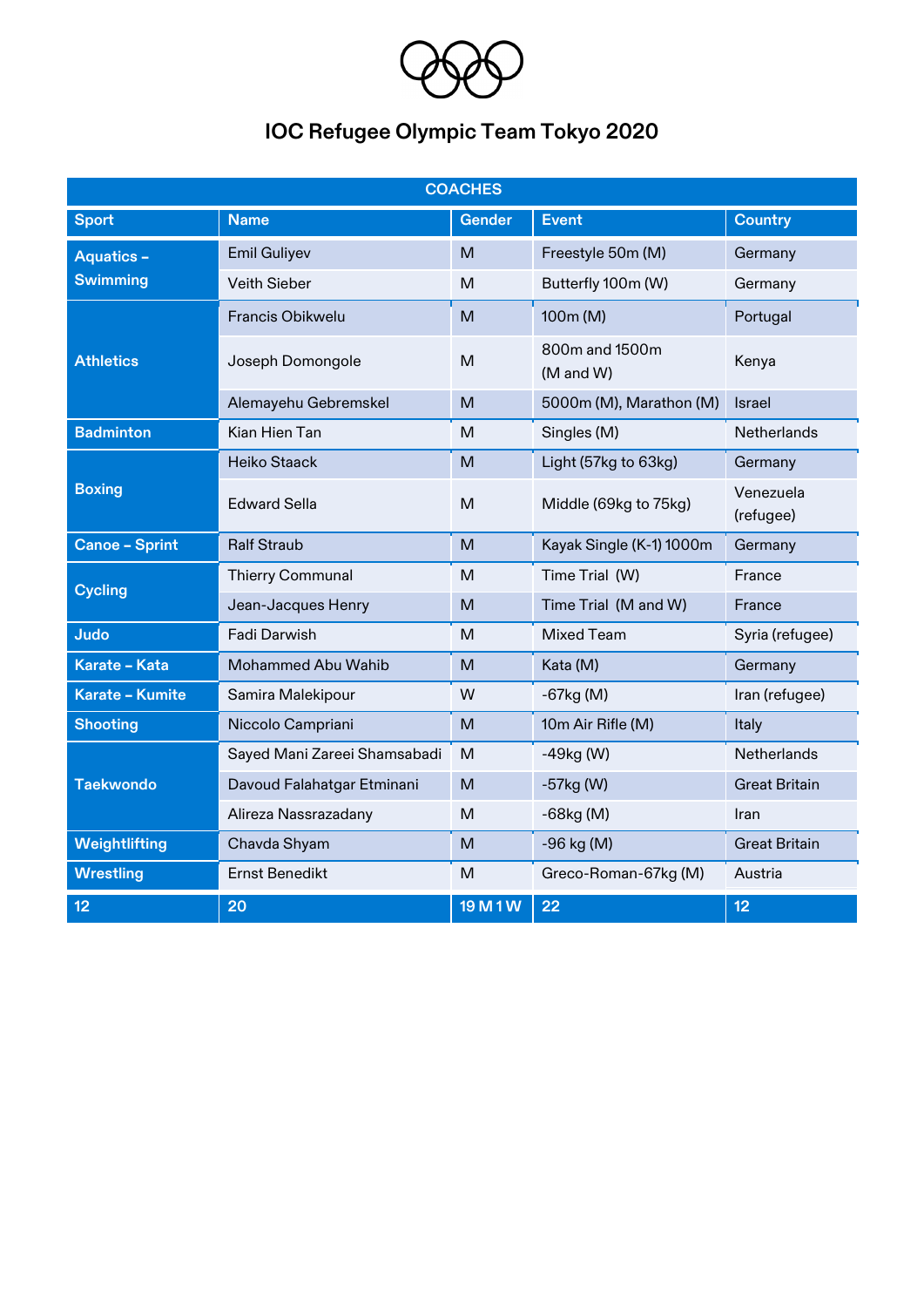

## **IOC Refugee Olympic Team Tokyo 2020**

| <b>COACHES</b>         |                              |               |                             |                        |  |  |  |  |
|------------------------|------------------------------|---------------|-----------------------------|------------------------|--|--|--|--|
| <b>Sport</b>           | <b>Name</b>                  | <b>Gender</b> | <b>Event</b>                | <b>Country</b>         |  |  |  |  |
| <b>Aquatics -</b>      | <b>Emil Guliyev</b>          | M             | Freestyle 50m (M)           | Germany                |  |  |  |  |
| <b>Swimming</b>        | <b>Veith Sieber</b>          | M             | Butterfly 100m (W)          | Germany                |  |  |  |  |
| <b>Athletics</b>       | <b>Francis Obikwelu</b>      | M             | 100m (M)                    | Portugal               |  |  |  |  |
|                        | Joseph Domongole             | M             | 800m and 1500m<br>(M and W) | Kenya                  |  |  |  |  |
|                        | Alemayehu Gebremskel         | M             | 5000m (M), Marathon (M)     | Israel                 |  |  |  |  |
| <b>Badminton</b>       | Kian Hien Tan                | M             | Singles (M)                 | Netherlands            |  |  |  |  |
| <b>Boxing</b>          | <b>Heiko Staack</b>          | M             | Light (57kg to 63kg)        | Germany                |  |  |  |  |
|                        | <b>Edward Sella</b>          | M             | Middle (69kg to 75kg)       | Venezuela<br>(refugee) |  |  |  |  |
| <b>Canoe - Sprint</b>  | <b>Ralf Straub</b>           | M             | Kayak Single (K-1) 1000m    | Germany                |  |  |  |  |
| <b>Cycling</b>         | <b>Thierry Communal</b>      | M             | Time Trial (W)              | France                 |  |  |  |  |
|                        | Jean-Jacques Henry           | M             | Time Trial (M and W)        | France                 |  |  |  |  |
| Judo                   | Fadi Darwish                 | M             | <b>Mixed Team</b>           | Syria (refugee)        |  |  |  |  |
| Karate - Kata          | Mohammed Abu Wahib           | M             | Kata (M)                    | Germany                |  |  |  |  |
| <b>Karate - Kumite</b> | Samira Malekipour            | W             | $-67$ kg $(M)$              | Iran (refugee)         |  |  |  |  |
| <b>Shooting</b>        | Niccolo Campriani            | M             | 10m Air Rifle (M)           | Italy                  |  |  |  |  |
| <b>Taekwondo</b>       | Sayed Mani Zareei Shamsabadi | M             | $-49kg$ (W)                 | Netherlands            |  |  |  |  |
|                        | Davoud Falahatgar Etminani   | M             | $-57kg$ (W)                 | <b>Great Britain</b>   |  |  |  |  |
|                        | Alireza Nassrazadany         | M             | $-68kg(M)$                  | Iran                   |  |  |  |  |
| Weightlifting          | Chavda Shyam                 | M             | -96 kg (M)                  | <b>Great Britain</b>   |  |  |  |  |
| <b>Wrestling</b>       | <b>Ernst Benedikt</b>        | M             | Greco-Roman-67kg (M)        | Austria                |  |  |  |  |
| 12                     | 20                           | 19 M 1 W      | 22                          | 12                     |  |  |  |  |